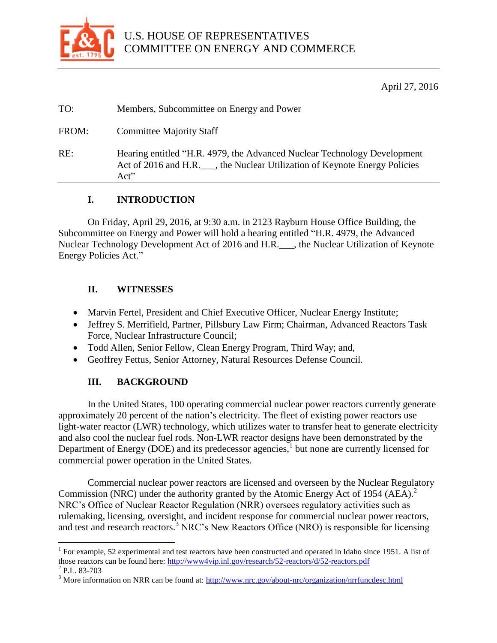

April 27, 2016

| TO: | Members, Subcommittee on Energy and Power |  |
|-----|-------------------------------------------|--|
|     |                                           |  |

FROM: Committee Majority Staff

RE: Hearing entitled "H.R. 4979, the Advanced Nuclear Technology Development Act of 2016 and H.R. \_\_\_, the Nuclear Utilization of Keynote Energy Policies Act"

## **I. INTRODUCTION**

On Friday, April 29, 2016, at 9:30 a.m. in 2123 Rayburn House Office Building, the Subcommittee on Energy and Power will hold a hearing entitled "H.R. 4979, the Advanced Nuclear Technology Development Act of 2016 and H.R.\_\_\_, the Nuclear Utilization of Keynote Energy Policies Act."

## **II. WITNESSES**

- Marvin Fertel, President and Chief Executive Officer, Nuclear Energy Institute;
- Jeffrey S. Merrifield, Partner, Pillsbury Law Firm; Chairman, Advanced Reactors Task Force, Nuclear Infrastructure Council;
- Todd Allen, Senior Fellow, Clean Energy Program, Third Way; and,
- Geoffrey Fettus, Senior Attorney, Natural Resources Defense Council.

# **III. BACKGROUND**

In the United States, 100 operating commercial nuclear power reactors currently generate approximately 20 percent of the nation's electricity. The fleet of existing power reactors use light-water reactor (LWR) technology, which utilizes water to transfer heat to generate electricity and also cool the nuclear fuel rods. Non-LWR reactor designs have been demonstrated by the Department of Energy (DOE) and its predecessor agencies,<sup>1</sup> but none are currently licensed for commercial power operation in the United States.

Commercial nuclear power reactors are licensed and overseen by the Nuclear Regulatory Commission (NRC) under the authority granted by the Atomic Energy Act of 1954 (AEA).<sup>2</sup> NRC's Office of Nuclear Reactor Regulation (NRR) oversees regulatory activities such as rulemaking, licensing, oversight, and incident response for commercial nuclear power reactors, and test and research reactors.<sup>3</sup> NRC's New Reactors Office (NRO) is responsible for licensing

 $\overline{a}$ 

<sup>&</sup>lt;sup>1</sup> For example, 52 experimental and test reactors have been constructed and operated in Idaho since 1951. A list of those reactors can be found here:<http://www4vip.inl.gov/research/52-reactors/d/52-reactors.pdf>

 $^{2}$  P.L. 83-703

<sup>&</sup>lt;sup>3</sup> More information on NRR can be found at:<http://www.nrc.gov/about-nrc/organization/nrrfuncdesc.html>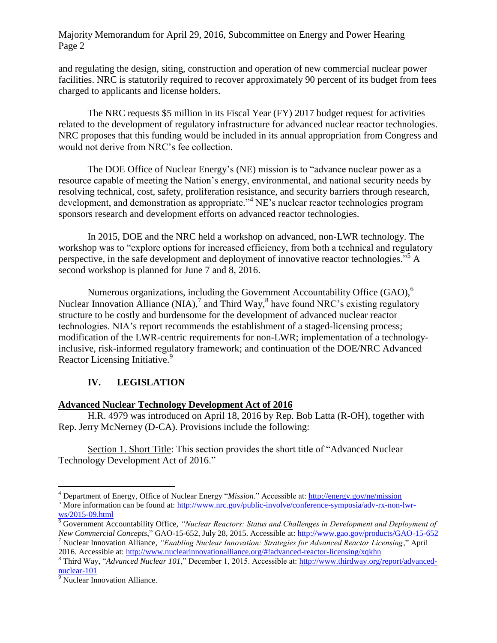and regulating the design, siting, construction and operation of new commercial nuclear power facilities. NRC is statutorily required to recover approximately 90 percent of its budget from fees charged to applicants and license holders.

The NRC requests \$5 million in its Fiscal Year (FY) 2017 budget request for activities related to the development of regulatory infrastructure for advanced nuclear reactor technologies. NRC proposes that this funding would be included in its annual appropriation from Congress and would not derive from NRC's fee collection.

The DOE Office of Nuclear Energy's (NE) mission is to "advance nuclear power as a resource capable of meeting the Nation's energy, environmental, and national security needs by resolving technical, cost, safety, proliferation resistance, and security barriers through research, development, and demonstration as appropriate."<sup>4</sup> NE's nuclear reactor technologies program sponsors research and development efforts on advanced reactor technologies.

In 2015, DOE and the NRC held a workshop on advanced, non-LWR technology. The workshop was to "explore options for increased efficiency, from both a technical and regulatory perspective, in the safe development and deployment of innovative reactor technologies."<sup>5</sup> A second workshop is planned for June 7 and 8, 2016.

Numerous organizations, including the Government Accountability Office  $(GAO)$ ,<sup>6</sup> Nuclear Innovation Alliance  $(NIA)$ , and Third Way,  $\delta$  have found NRC's existing regulatory structure to be costly and burdensome for the development of advanced nuclear reactor technologies. NIA's report recommends the establishment of a staged-licensing process; modification of the LWR-centric requirements for non-LWR; implementation of a technologyinclusive, risk-informed regulatory framework; and continuation of the DOE/NRC Advanced Reactor Licensing Initiative.<sup>9</sup>

## **IV. LEGISLATION**

#### **Advanced Nuclear Technology Development Act of 2016**

H.R. 4979 was introduced on April 18, 2016 by Rep. Bob Latta (R-OH), together with Rep. Jerry McNerney (D-CA). Provisions include the following:

Section 1. Short Title: This section provides the short title of "Advanced Nuclear Technology Development Act of 2016."

 $\overline{a}$ 

<sup>&</sup>lt;sup>4</sup> Department of Energy, Office of Nuclear Energy "*Mission*." Accessible at:<http://energy.gov/ne/mission>

<sup>&</sup>lt;sup>5</sup> More information can be found at: [http://www.nrc.gov/public-involve/conference-symposia/adv-rx-non-lwr](http://www.nrc.gov/public-involve/conference-symposia/adv-rx-non-lwr-ws/2015-09.html)[ws/2015-09.html](http://www.nrc.gov/public-involve/conference-symposia/adv-rx-non-lwr-ws/2015-09.html)

<sup>6</sup> Government Accountability Office, *"Nuclear Reactors: Status and Challenges in Development and Deployment of New Commercial Concepts*," GAO-15-652, July 28, 2015. Accessible at[: http://www.gao.gov/products/GAO-15-652](http://www.gao.gov/products/GAO-15-652)

<sup>7</sup> Nuclear Innovation Alliance, *"Enabling Nuclear Innovation: Strategies for Advanced Reactor Licensing*," April 2016. Accessible at:<http://www.nuclearinnovationalliance.org/#!advanced-reactor-licensing/xqkhn>

<sup>8</sup> Third Way, "*Advanced Nuclear 101*," December 1, 2015. Accessible at: [http://www.thirdway.org/report/advanced](http://www.thirdway.org/report/advanced-nuclear-101)[nuclear-101](http://www.thirdway.org/report/advanced-nuclear-101)

<sup>&</sup>lt;sup>9</sup> Nuclear Innovation Alliance.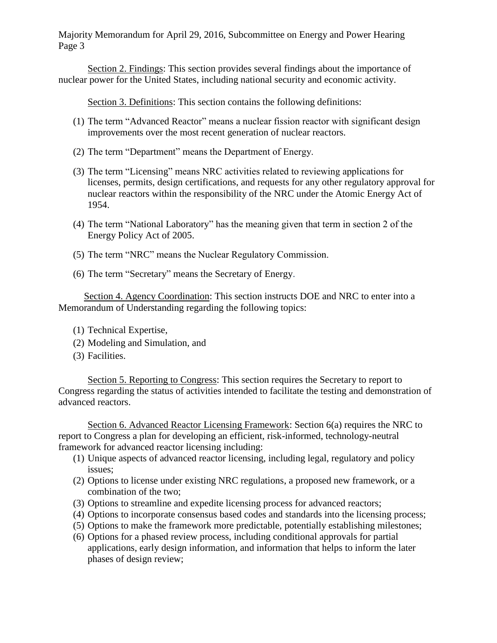Section 2. Findings: This section provides several findings about the importance of nuclear power for the United States, including national security and economic activity.

Section 3. Definitions: This section contains the following definitions:

- (1) The term "Advanced Reactor" means a nuclear fission reactor with significant design improvements over the most recent generation of nuclear reactors.
- (2) The term "Department" means the Department of Energy.
- (3) The term "Licensing" means NRC activities related to reviewing applications for licenses, permits, design certifications, and requests for any other regulatory approval for nuclear reactors within the responsibility of the NRC under the Atomic Energy Act of 1954.
- (4) The term "National Laboratory" has the meaning given that term in section 2 of the Energy Policy Act of 2005.
- (5) The term "NRC" means the Nuclear Regulatory Commission.
- (6) The term "Secretary" means the Secretary of Energy.

Section 4. Agency Coordination: This section instructs DOE and NRC to enter into a Memorandum of Understanding regarding the following topics:

- (1) Technical Expertise,
- (2) Modeling and Simulation, and
- (3) Facilities.

Section 5. Reporting to Congress: This section requires the Secretary to report to Congress regarding the status of activities intended to facilitate the testing and demonstration of advanced reactors.

Section 6. Advanced Reactor Licensing Framework: Section 6(a) requires the NRC to report to Congress a plan for developing an efficient, risk-informed, technology-neutral framework for advanced reactor licensing including:

- (1) Unique aspects of advanced reactor licensing, including legal, regulatory and policy issues;
- (2) Options to license under existing NRC regulations, a proposed new framework, or a combination of the two;
- (3) Options to streamline and expedite licensing process for advanced reactors;
- (4) Options to incorporate consensus based codes and standards into the licensing process;
- (5) Options to make the framework more predictable, potentially establishing milestones;
- (6) Options for a phased review process, including conditional approvals for partial applications, early design information, and information that helps to inform the later phases of design review;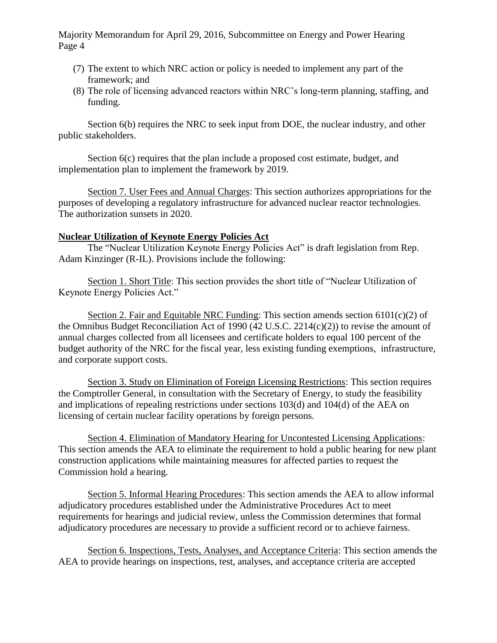- (7) The extent to which NRC action or policy is needed to implement any part of the framework; and
- (8) The role of licensing advanced reactors within NRC's long-term planning, staffing, and funding.

Section 6(b) requires the NRC to seek input from DOE, the nuclear industry, and other public stakeholders.

Section 6(c) requires that the plan include a proposed cost estimate, budget, and implementation plan to implement the framework by 2019.

Section 7. User Fees and Annual Charges: This section authorizes appropriations for the purposes of developing a regulatory infrastructure for advanced nuclear reactor technologies. The authorization sunsets in 2020.

#### **Nuclear Utilization of Keynote Energy Policies Act**

The "Nuclear Utilization Keynote Energy Policies Act" is draft legislation from Rep. Adam Kinzinger (R-IL). Provisions include the following:

Section 1. Short Title: This section provides the short title of "Nuclear Utilization of Keynote Energy Policies Act."

Section 2. Fair and Equitable NRC Funding: This section amends section  $6101(c)(2)$  of the Omnibus Budget Reconciliation Act of 1990 (42 U.S.C. 2214(c)(2)) to revise the amount of annual charges collected from all licensees and certificate holders to equal 100 percent of the budget authority of the NRC for the fiscal year, less existing funding exemptions, infrastructure, and corporate support costs.

Section 3. Study on Elimination of Foreign Licensing Restrictions: This section requires the Comptroller General, in consultation with the Secretary of Energy, to study the feasibility and implications of repealing restrictions under sections 103(d) and 104(d) of the AEA on licensing of certain nuclear facility operations by foreign persons.

Section 4. Elimination of Mandatory Hearing for Uncontested Licensing Applications: This section amends the AEA to eliminate the requirement to hold a public hearing for new plant construction applications while maintaining measures for affected parties to request the Commission hold a hearing.

Section 5. Informal Hearing Procedures: This section amends the AEA to allow informal adjudicatory procedures established under the Administrative Procedures Act to meet requirements for hearings and judicial review, unless the Commission determines that formal adjudicatory procedures are necessary to provide a sufficient record or to achieve fairness.

Section 6. Inspections, Tests, Analyses, and Acceptance Criteria: This section amends the AEA to provide hearings on inspections, test, analyses, and acceptance criteria are accepted